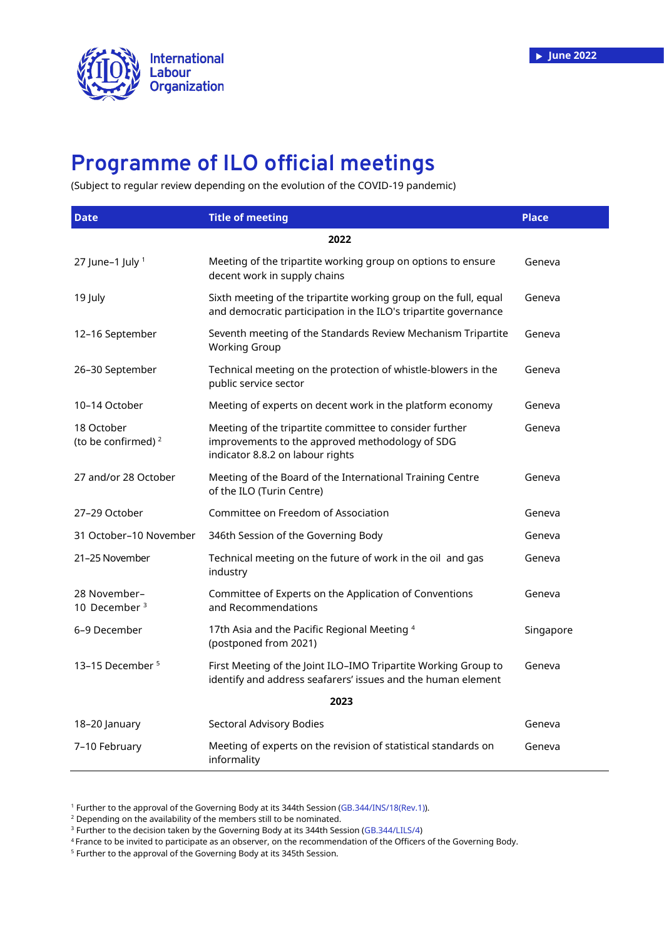

## **Programme of ILO official meetings**

(Subject to regular review depending on the evolution of the COVID-19 pandemic)

| <b>Date</b>                                  | <b>Title of meeting</b>                                                                                                                        | <b>Place</b> |
|----------------------------------------------|------------------------------------------------------------------------------------------------------------------------------------------------|--------------|
|                                              | 2022                                                                                                                                           |              |
| 27 June-1 July $1$                           | Meeting of the tripartite working group on options to ensure<br>decent work in supply chains                                                   | Geneva       |
| 19 July                                      | Sixth meeting of the tripartite working group on the full, equal<br>and democratic participation in the ILO's tripartite governance            | Geneva       |
| 12-16 September                              | Seventh meeting of the Standards Review Mechanism Tripartite<br><b>Working Group</b>                                                           | Geneva       |
| 26-30 September                              | Technical meeting on the protection of whistle-blowers in the<br>public service sector                                                         | Geneva       |
| 10-14 October                                | Meeting of experts on decent work in the platform economy                                                                                      | Geneva       |
| 18 October<br>(to be confirmed) <sup>2</sup> | Meeting of the tripartite committee to consider further<br>improvements to the approved methodology of SDG<br>indicator 8.8.2 on labour rights | Geneva       |
| 27 and/or 28 October                         | Meeting of the Board of the International Training Centre<br>of the ILO (Turin Centre)                                                         | Geneva       |
| 27-29 October                                | Committee on Freedom of Association                                                                                                            | Geneva       |
| 31 October-10 November                       | 346th Session of the Governing Body                                                                                                            | Geneva       |
| 21-25 November                               | Technical meeting on the future of work in the oil and gas<br>industry                                                                         | Geneva       |
| 28 November-<br>10 December <sup>3</sup>     | Committee of Experts on the Application of Conventions<br>and Recommendations                                                                  | Geneva       |
| 6-9 December                                 | 17th Asia and the Pacific Regional Meeting 4<br>(postponed from 2021)                                                                          | Singapore    |
| 13-15 December <sup>5</sup>                  | First Meeting of the Joint ILO-IMO Tripartite Working Group to<br>identify and address seafarers' issues and the human element                 | Geneva       |
| 2023                                         |                                                                                                                                                |              |
| 18-20 January                                | Sectoral Advisory Bodies                                                                                                                       | Geneva       |
| 7-10 February                                | Meeting of experts on the revision of statistical standards on<br>informality                                                                  | Geneva       |

<sup>1</sup> Further to the approval of the Governing Body at its 344th Session [\(GB.344/INS/18\(R](https://www.ilo.org/gb/GBSessions/GB344/ins/WCMS_840308/lang--en/index.htm)ev.1)).

<sup>2</sup> Depending on the availability of the members still to be nominated.

<sup>3</sup> Further to the decision taken by the Governing Body at its 344th Session [\(GB.344/LILS/4\)](https://www.ilo.org/gb/GBSessions/GB344/lils/WCMS_840376/lang--en/index.htm)

<sup>4</sup> France to be invited to participate as an observer, on the recommendation of the Officers of the Governing Body.

<sup>5</sup> Further to the approval of the Governing Body at its 345th Session.